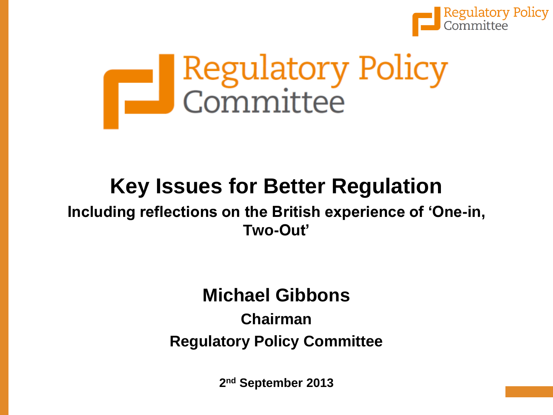

# Regulatory Policy<br>Committee

# **Key Issues for Better Regulation**

#### **Including reflections on the British experience of 'One-in, Two-Out'**

### **Michael Gibbons**

### **Chairman Regulatory Policy Committee**

**2 nd September 2013**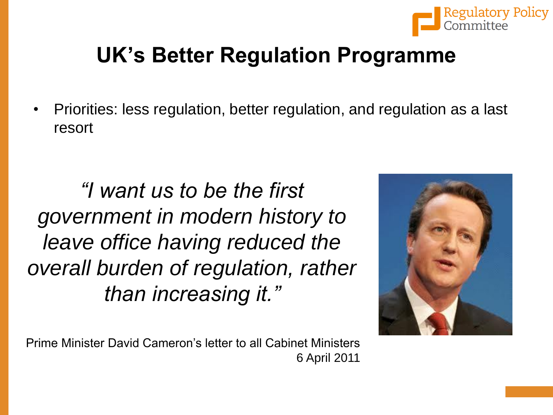

# **UK's Better Regulation Programme**

• Priorities: less regulation, better regulation, and regulation as a last resort

*"I want us to be the first government in modern history to leave office having reduced the overall burden of regulation, rather than increasing it."*



Prime Minister David Cameron's letter to all Cabinet Ministers 6 April 2011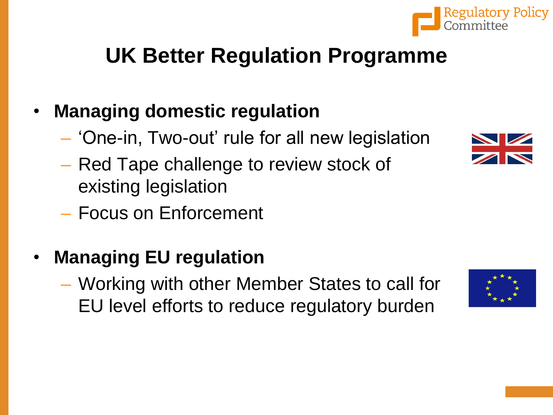# **UK Better Regulation Programme**

### • **Managing domestic regulation**

- 'One-in, Two-out' rule for all new legislation
- Red Tape challenge to review stock of existing legislation
- Focus on Enforcement

## • **Managing EU regulation**

– Working with other Member States to call for EU level efforts to reduce regulatory burden





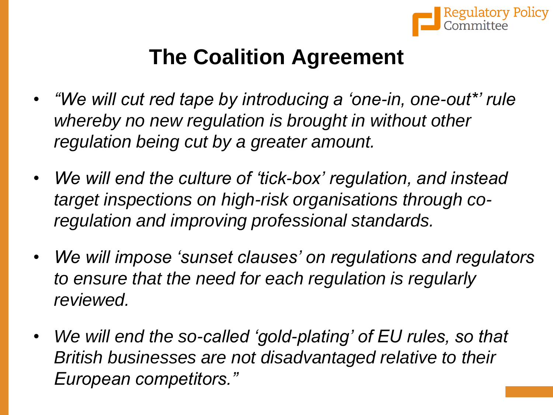

# **The Coalition Agreement**

- *"We will cut red tape by introducing a 'one-in, one-out\*' rule whereby no new regulation is brought in without other regulation being cut by a greater amount.*
- *We will end the culture of 'tick-box' regulation, and instead target inspections on high-risk organisations through coregulation and improving professional standards.*
- *We will impose 'sunset clauses' on regulations and regulators to ensure that the need for each regulation is regularly reviewed.*
- *We will end the so-called 'gold-plating' of EU rules, so that British businesses are not disadvantaged relative to their European competitors."*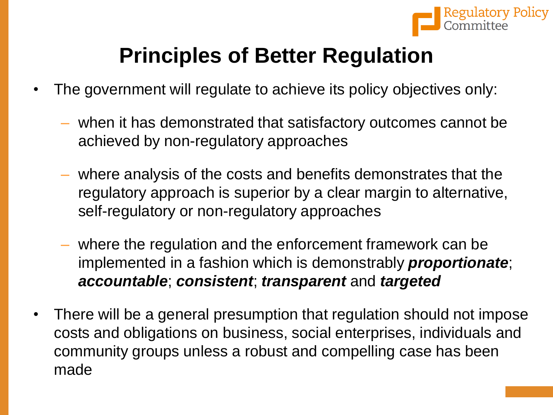

# **Principles of Better Regulation**

- The government will regulate to achieve its policy objectives only:
	- when it has demonstrated that satisfactory outcomes cannot be achieved by non-regulatory approaches
	- where analysis of the costs and benefits demonstrates that the regulatory approach is superior by a clear margin to alternative, self-regulatory or non-regulatory approaches
	- where the regulation and the enforcement framework can be implemented in a fashion which is demonstrably *proportionate*; *accountable*; *consistent*; *transparent* and *targeted*
- There will be a general presumption that regulation should not impose costs and obligations on business, social enterprises, individuals and community groups unless a robust and compelling case has been made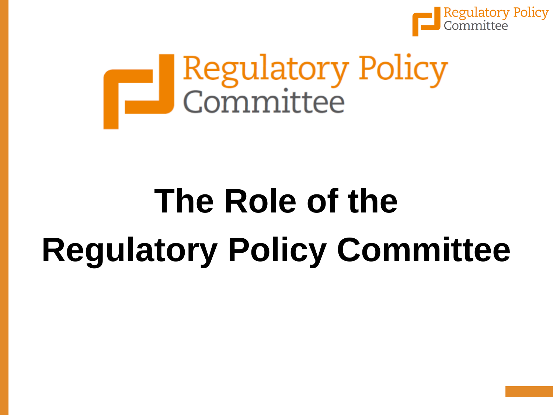

# Regulatory Policy

# **The Role of the Regulatory Policy Committee**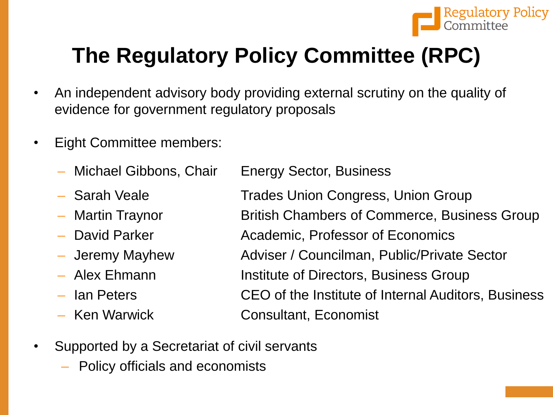

# **The Regulatory Policy Committee (RPC)**

- An independent advisory body providing external scrutiny on the quality of evidence for government regulatory proposals
- **Eight Committee members:** 
	- Michael Gibbons, Chair
	- Sarah Veale
	- Martin Traynor
	- David Parker
	- Jeremy Mayhew
	- Alex Ehmann
	- Ian Peters
	- Ken Warwick

Energy Sector, Business

Trades Union Congress, Union Group British Chambers of Commerce, Business Group Academic, Professor of Economics Adviser / Councilman, Public/Private Sector Institute of Directors, Business Group CEO of the Institute of Internal Auditors, Business Consultant, Economist

- Supported by a Secretariat of civil servants
	- Policy officials and economists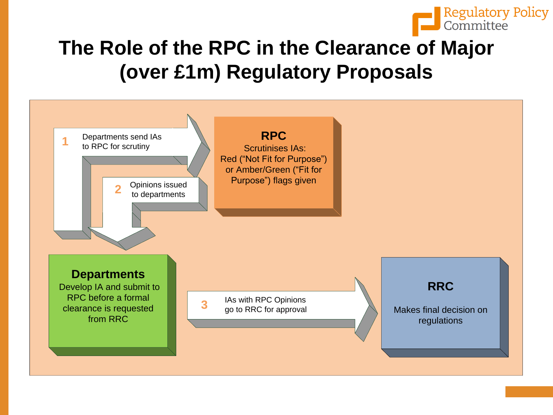

## **The Role of the RPC in the Clearance of Major (over £1m) Regulatory Proposals**

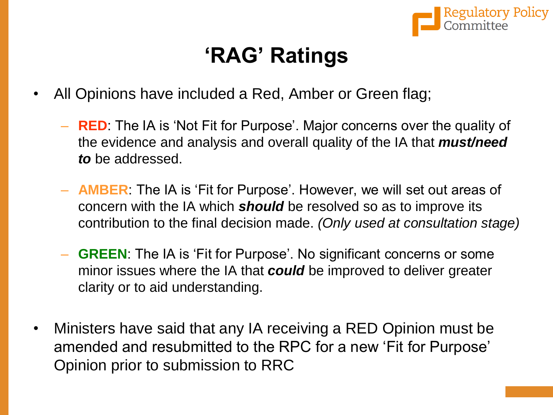

# **'RAG' Ratings**

- All Opinions have included a Red, Amber or Green flag;
	- **RED**: The IA is 'Not Fit for Purpose'. Major concerns over the quality of the evidence and analysis and overall quality of the IA that *must/need to* be addressed.
	- **AMBER**: The IA is 'Fit for Purpose'. However, we will set out areas of concern with the IA which *should* be resolved so as to improve its contribution to the final decision made. *(Only used at consultation stage)*
	- **GREEN**: The IA is 'Fit for Purpose'. No significant concerns or some minor issues where the IA that *could* be improved to deliver greater clarity or to aid understanding.
- Ministers have said that any IA receiving a RED Opinion must be amended and resubmitted to the RPC for a new 'Fit for Purpose' Opinion prior to submission to RRC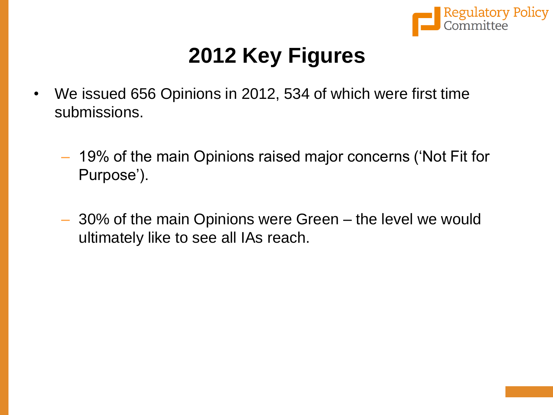

# **2012 Key Figures**

- We issued 656 Opinions in 2012, 534 of which were first time submissions.
	- 19% of the main Opinions raised major concerns ('Not Fit for Purpose').
	- 30% of the main Opinions were Green the level we would ultimately like to see all IAs reach.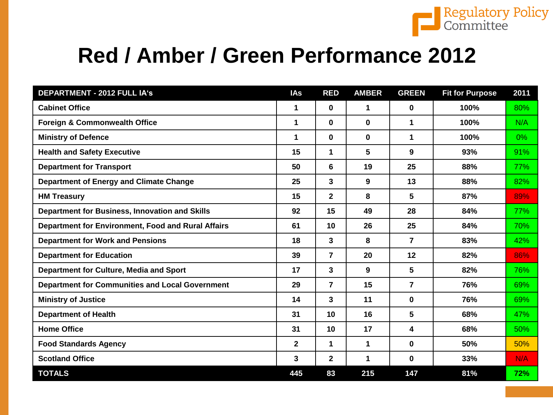

# **Red / Amber / Green Performance 2012**

| <b>DEPARTMENT - 2012 FULL IA's</b>                     | <b>IAs</b>   | <b>RED</b>     | <b>AMBER</b> | <b>GREEN</b> | <b>Fit for Purpose</b> | 2011  |
|--------------------------------------------------------|--------------|----------------|--------------|--------------|------------------------|-------|
| <b>Cabinet Office</b>                                  | 1            | 0              | 1            | 0            | 100%                   | 80%   |
| <b>Foreign &amp; Commonwealth Office</b>               | 1            | 0              | 0            | 1            | 100%                   | N/A   |
| <b>Ministry of Defence</b>                             | 1            | 0              | 0            | 1            | 100%                   | $0\%$ |
| <b>Health and Safety Executive</b>                     | 15           | 1              | 5            | 9            | 93%                    | 91%   |
| <b>Department for Transport</b>                        | 50           | 6              | 19           | 25           | 88%                    | 77%   |
| <b>Department of Energy and Climate Change</b>         | 25           | 3              | 9            | 13           | 88%                    | 82%   |
| <b>HM Treasury</b>                                     | 15           | $\mathbf{2}$   | 8            | 5            | 87%                    | 89%   |
| <b>Department for Business, Innovation and Skills</b>  | 92           | 15             | 49           | 28           | 84%                    | 77%   |
| Department for Environment, Food and Rural Affairs     | 61           | 10             | 26           | 25           | 84%                    | 70%   |
| <b>Department for Work and Pensions</b>                | 18           | 3              | 8            | 7            | 83%                    | 42%   |
| <b>Department for Education</b>                        | 39           | $\overline{7}$ | 20           | 12           | 82%                    | 86%   |
| Department for Culture, Media and Sport                | 17           | 3              | 9            | 5            | 82%                    | 76%   |
| <b>Department for Communities and Local Government</b> | 29           | $\overline{7}$ | 15           | 7            | 76%                    | 69%   |
| <b>Ministry of Justice</b>                             | 14           | 3              | 11           | 0            | 76%                    | 69%   |
| <b>Department of Health</b>                            | 31           | 10             | 16           | 5            | 68%                    | 47%   |
| <b>Home Office</b>                                     | 31           | 10             | 17           | 4            | 68%                    | 50%   |
| <b>Food Standards Agency</b>                           | $\mathbf{2}$ | $\mathbf 1$    | 1            | 0            | 50%                    | 50%   |
| <b>Scotland Office</b>                                 | 3            | $\mathbf 2$    | 1            | 0            | 33%                    | N/A   |
| <b>TOTALS</b>                                          | 445          | 83             | 215          | 147          | 81%                    | 72%   |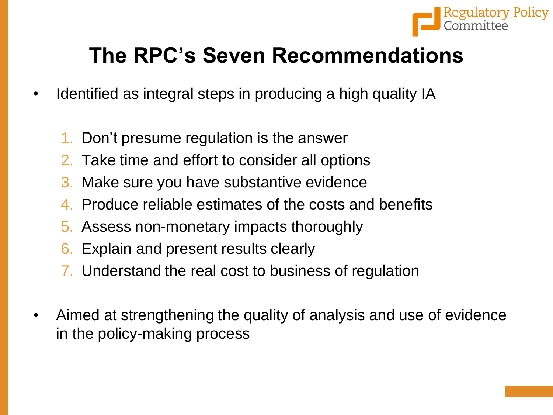

# **The RPC's Seven Recommendations**

- Identified as integral steps in producing a high quality IA
	- 1. Don't presume regulation is the answer
	- 2. Take time and effort to consider all options
	- 3. Make sure you have substantive evidence
	- 4. Produce reliable estimates of the costs and benefits
	- 5. Assess non-monetary impacts thoroughly
	- 6. Explain and present results clearly
	- 7. Understand the real cost to business of regulation
- Aimed at strengthening the quality of analysis and use of evidence in the policy-making process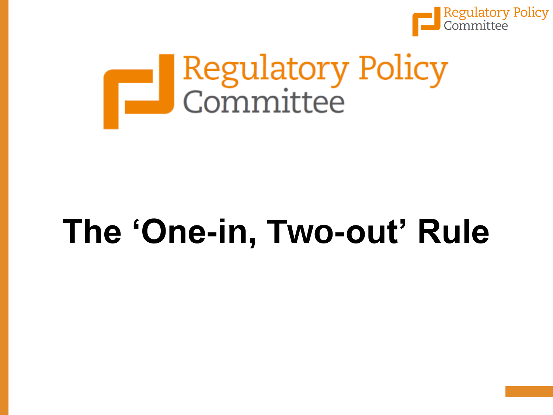

# Regulatory Policy

# **The 'One-in, Two-out' Rule**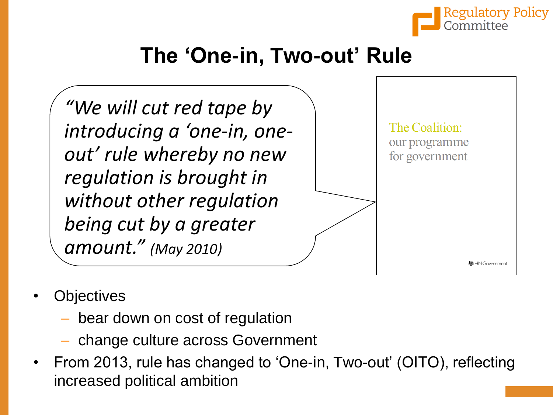

# **The 'One-in, Two-out' Rule**

*"We will cut red tape by introducing a 'one-in, oneout' rule whereby no new regulation is brought in without other regulation being cut by a greater amount." (May 2010)*



- **Objectives** 
	- bear down on cost of regulation
	- change culture across Government
- From 2013, rule has changed to 'One-in, Two-out' (OITO), reflecting increased political ambition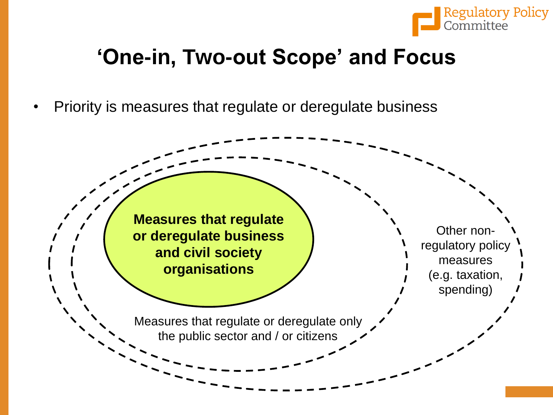

# **'One-in, Two-out Scope' and Focus**

• Priority is measures that regulate or deregulate business

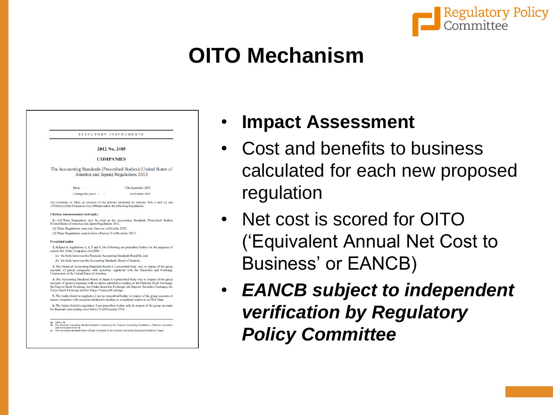

# **OITO Mechanism**

|                          | STATUTORY INSTRUMENTS                                                                                                                                                                                                                                                                                                                                       |
|--------------------------|-------------------------------------------------------------------------------------------------------------------------------------------------------------------------------------------------------------------------------------------------------------------------------------------------------------------------------------------------------------|
|                          | 2012 No. 2405                                                                                                                                                                                                                                                                                                                                               |
|                          | <b>COMPANIES</b>                                                                                                                                                                                                                                                                                                                                            |
|                          | The Accounting Standards (Prescribed Bodies) (United States of<br>America and Japan) Regulations 2012                                                                                                                                                                                                                                                       |
|                          | Made<br>17th September 2012                                                                                                                                                                                                                                                                                                                                 |
|                          | Coming into force -<br>1st October 2012                                                                                                                                                                                                                                                                                                                     |
|                          | The Secretary of State, in exercise of the powers conferred by sections 464(1) and (3) and<br>1292(1)(a) of the Companies Act 2006(a) makes the following Regulations:                                                                                                                                                                                      |
|                          | Citation, commencement and expiry                                                                                                                                                                                                                                                                                                                           |
|                          | 1. (1) These Regulations may be cited as the Accounting Standards (Prescribed Bodies)<br>(United States of America and Japan) Regulations 2012.                                                                                                                                                                                                             |
|                          | (2) These Regulations come into force on 1st October 2012.                                                                                                                                                                                                                                                                                                  |
|                          | (3) These Regulations cease to have effect on 31st December 2015.                                                                                                                                                                                                                                                                                           |
| <b>Prescribed bodies</b> |                                                                                                                                                                                                                                                                                                                                                             |
|                          | 2. Subject to regulations 3, 4, 5 and 6, the following are prescribed bodies for the purposes of<br>section 464 of the Companies Act 2006-                                                                                                                                                                                                                  |
|                          | (a) the body known as the Financial Accounting Standards Board(b), and                                                                                                                                                                                                                                                                                      |
|                          | (b) the body known as the Accounting Standards Board of Japan(c).                                                                                                                                                                                                                                                                                           |
|                          | 3. The Financial Accounting Standards Board is a prescribed body only in respect of the group<br>accounts of parent companies with securities registered with the Securities and Exchange<br>Commission of the United States of America.                                                                                                                    |
|                          | 4. The Accounting Standards Board of Japan is a prescribed body only in respect of the group<br>accounts of parent companies with securities admitted to trading on the Fukuoka Stock Exchange,<br>the Nagoya Stock Exchange, the Osaka Securities Exchange, the Sapporo Securities Exchange, the<br>Tokyo Stock Exchange and the Tokyo Financial Exchange. |
|                          | 5. The bodies listed in regulation 2 are not prescribed bodies in respect of the group accounts of<br>parent companies with securities admitted to trading on a regulated market in an EEA State.                                                                                                                                                           |
|                          | 6. The bodies listed in regulation 2 are prescribed bodies only in respect of the group accounts                                                                                                                                                                                                                                                            |

ndards Board of Japan is overseen by the Fi

- **Impact Assessment**
- Cost and benefits to business calculated for each new proposed regulation
- Net cost is scored for OITO ('Equivalent Annual Net Cost to Business' or EANCB)
- *EANCB subject to independent verification by Regulatory Policy Committee*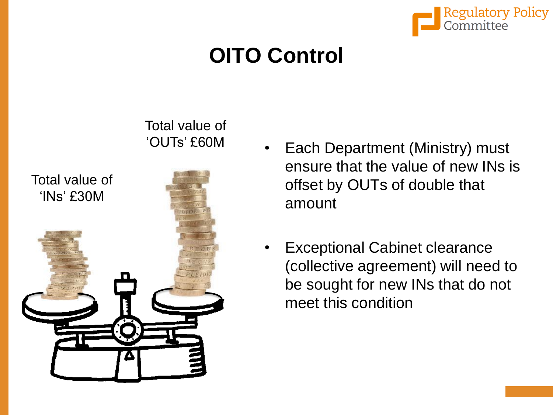

# **OITO Control**



- Each Department (Ministry) must ensure that the value of new INs is offset by OUTs of double that amount
- **Exceptional Cabinet clearance** (collective agreement) will need to be sought for new INs that do not meet this condition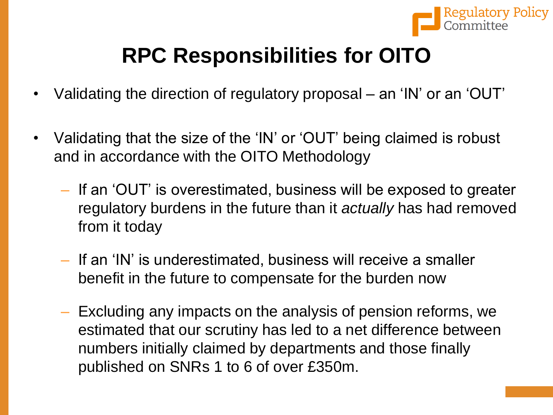

# **RPC Responsibilities for OITO**

- Validating the direction of regulatory proposal an 'IN' or an 'OUT'
- Validating that the size of the 'IN' or 'OUT' being claimed is robust and in accordance with the OITO Methodology
	- If an 'OUT' is overestimated, business will be exposed to greater regulatory burdens in the future than it *actually* has had removed from it today
	- If an 'IN' is underestimated, business will receive a smaller benefit in the future to compensate for the burden now
	- Excluding any impacts on the analysis of pension reforms, we estimated that our scrutiny has led to a net difference between numbers initially claimed by departments and those finally published on SNRs 1 to 6 of over £350m.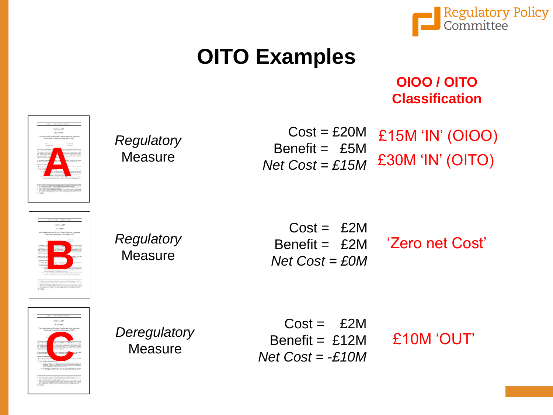

# **OITO Examples**

#### **OIOO / OITO Classification**



*Regulatory* **Measure** 

 $Cost = £20M$ Benefit = £5M *Net Cost = £15M*

£15M 'IN' (OIOO) £30M 'IN' (OITO)



*Regulatory* **Measure** 

 $Cost = £2M$ Benefit =  $£2M$ *Net Cost = £0M*

'Zero net Cost'



*Deregulatory* **Measure** 

 $Cost = £2M$ Benefit =  $£12M$ *Net Cost = -£10M*

£10M 'OUT'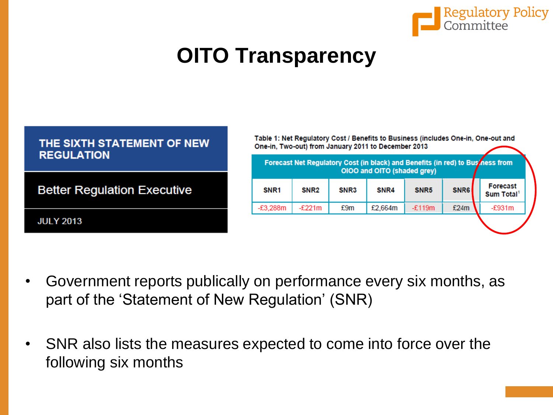

# **OITO Transparency**

| THE SIXTH STATEMENT OF NEW<br><b>REGULATION</b> | Table 1: Net Regulatory Cost / Benefits to Business (includes One-in, One-out and<br>One-in, Two-out) from January 2011 to December 2013                                                                                          |          |     |         |          |      |          |  |
|-------------------------------------------------|-----------------------------------------------------------------------------------------------------------------------------------------------------------------------------------------------------------------------------------|----------|-----|---------|----------|------|----------|--|
| <b>Better Regulation Executive</b>              | Forecast Net Regulatory Cost (in black) and Benefits (in red) to Business from<br>OIOO and OITO (shaded grey)<br>Forecast<br><b>SNR6</b><br>SNR <sub>5</sub><br>SNR <sub>1</sub><br>SNR <sub>2</sub><br>SNR3<br>SNR4<br>Sum Total |          |     |         |          |      |          |  |
| <b>JULY 2013</b>                                | $-£3,288m$                                                                                                                                                                                                                        | $-E221m$ | £9m | £2,664m | $-£119m$ | £24m | $-E931m$ |  |

- Government reports publically on performance every six months, as part of the 'Statement of New Regulation' (SNR)
- SNR also lists the measures expected to come into force over the following six months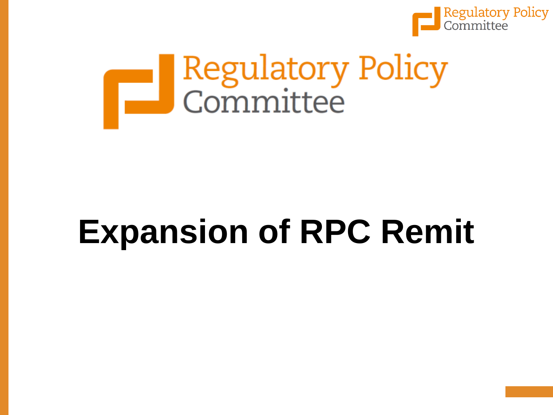

# Regulatory Policy

# **Expansion of RPC Remit**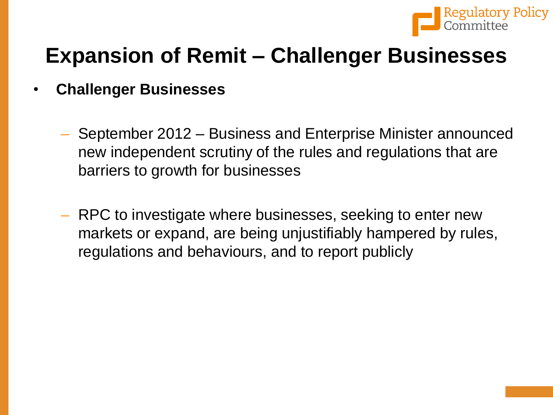

# **Expansion of Remit – Challenger Businesses**

- **Challenger Businesses**
	- September 2012 Business and Enterprise Minister announced new independent scrutiny of the rules and regulations that are barriers to growth for businesses
	- RPC to investigate where businesses, seeking to enter new markets or expand, are being unjustifiably hampered by rules, regulations and behaviours, and to report publicly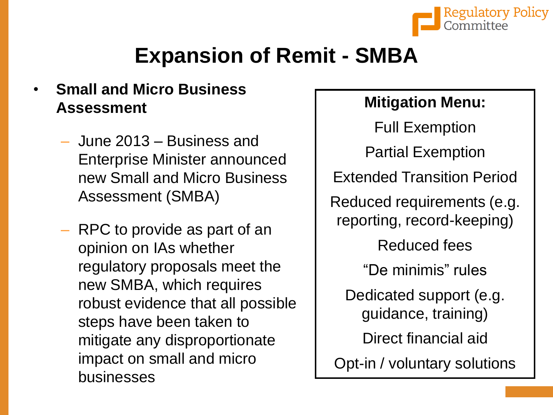

# **Expansion of Remit - SMBA**

#### • **Small and Micro Business Assessment**

- June 2013 Business and Enterprise Minister announced new Small and Micro Business Assessment (SMBA)
- RPC to provide as part of an opinion on IAs whether regulatory proposals meet the new SMBA, which requires robust evidence that all possible steps have been taken to mitigate any disproportionate impact on small and micro businesses

#### **Mitigation Menu:**

Full Exemption Partial Exemption Extended Transition Period Reduced requirements (e.g. reporting, record-keeping) Reduced fees "De minimis" rules Dedicated support (e.g. guidance, training) Direct financial aid Opt-in / voluntary solutions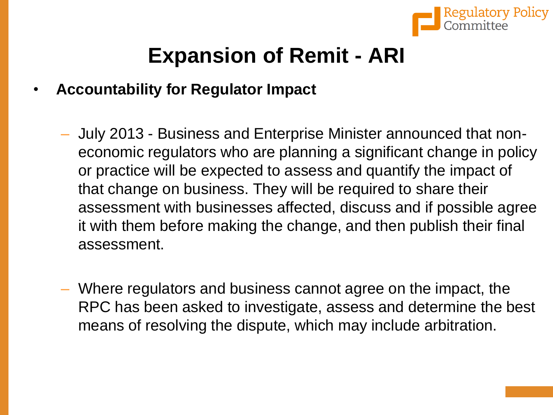

# **Expansion of Remit - ARI**

- **Accountability for Regulator Impact**
	- July 2013 Business and Enterprise Minister announced that noneconomic regulators who are planning a significant change in policy or practice will be expected to assess and quantify the impact of that change on business. They will be required to share their assessment with businesses affected, discuss and if possible agree it with them before making the change, and then publish their final assessment.
	- Where regulators and business cannot agree on the impact, the RPC has been asked to investigate, assess and determine the best means of resolving the dispute, which may include arbitration.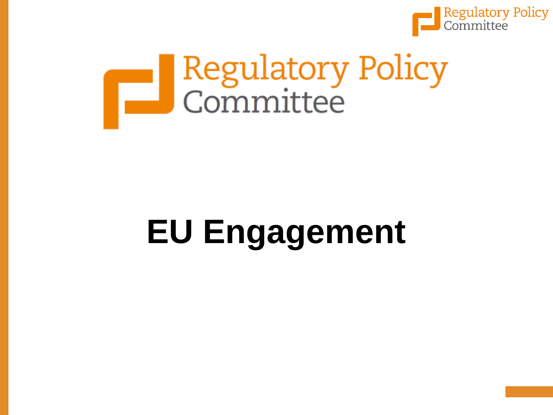

# Regulatory Policy<br>Committee

# **EU Engagement**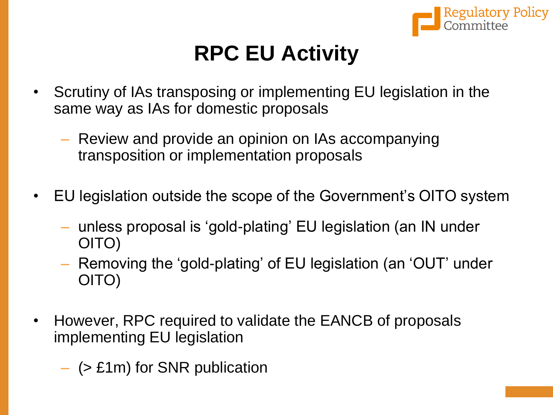

# **RPC EU Activity**

- Scrutiny of IAs transposing or implementing EU legislation in the same way as IAs for domestic proposals
	- Review and provide an opinion on IAs accompanying transposition or implementation proposals
- EU legislation outside the scope of the Government's OITO system
	- unless proposal is 'gold-plating' EU legislation (an IN under OITO)
	- Removing the 'gold-plating' of EU legislation (an 'OUT' under OITO)
- However, RPC required to validate the EANCB of proposals implementing EU legislation
	- (> £1m) for SNR publication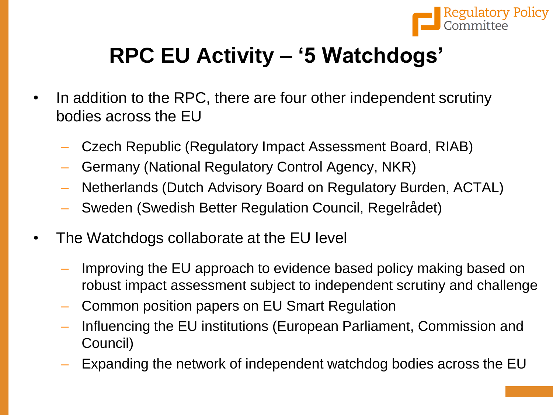

# **RPC EU Activity – '5 Watchdogs'**

- In addition to the RPC, there are four other independent scrutiny bodies across the EU
	- Czech Republic (Regulatory Impact Assessment Board, RIAB)
	- Germany (National Regulatory Control Agency, NKR)
	- Netherlands (Dutch Advisory Board on Regulatory Burden, ACTAL)
	- Sweden (Swedish Better Regulation Council, Regelrådet)
- The Watchdogs collaborate at the EU level
	- Improving the EU approach to evidence based policy making based on robust impact assessment subject to independent scrutiny and challenge
	- Common position papers on EU Smart Regulation
	- Influencing the EU institutions (European Parliament, Commission and Council)
	- Expanding the network of independent watchdog bodies across the EU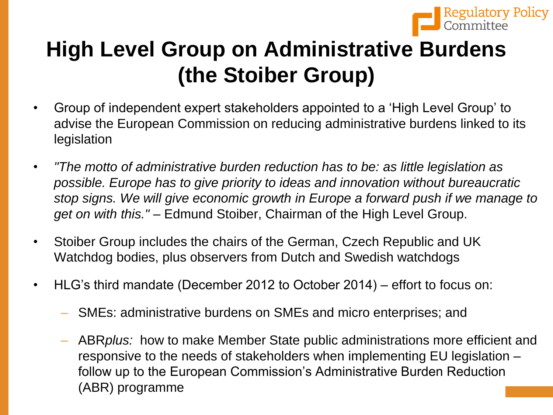

# **High Level Group on Administrative Burdens (the Stoiber Group)**

- Group of independent expert stakeholders appointed to a 'High Level Group' to advise the European Commission on reducing administrative burdens linked to its legislation
- *"The motto of administrative burden reduction has to be: as little legislation as possible. Europe has to give priority to ideas and innovation without bureaucratic stop signs. We will give economic growth in Europe a forward push if we manage to get on with this."* – Edmund Stoiber, Chairman of the High Level Group.
- Stoiber Group includes the chairs of the German, Czech Republic and UK Watchdog bodies, plus observers from Dutch and Swedish watchdogs
- HLG's third mandate (December 2012 to October 2014) effort to focus on:
	- SMEs: administrative burdens on SMEs and micro enterprises; and
	- ABR*plus:* how to make Member State public administrations more efficient and responsive to the needs of stakeholders when implementing EU legislation – follow up to the European Commission's Administrative Burden Reduction (ABR) programme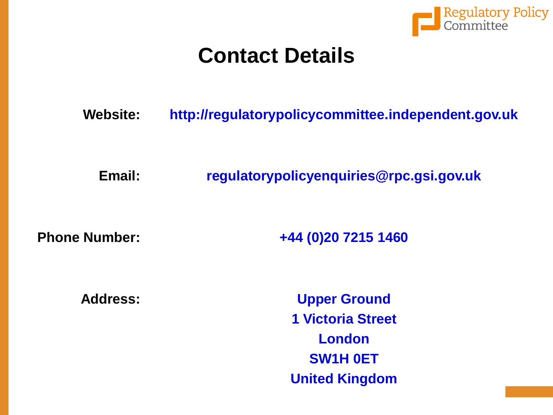

### **Contact Details**

**Website: http://regulatorypolicycommittee.independent.gov.uk**

**Email: regulatorypolicyenquiries@rpc.gsi.gov.uk** 

**Phone Number: +44 (0)20 7215 1460**

**Address: Upper Ground 1 Victoria Street London SW1H 0ET United Kingdom**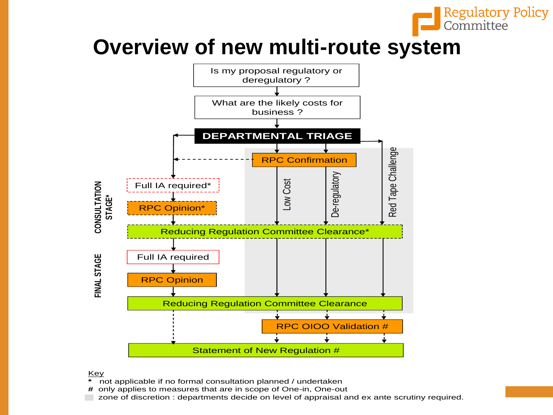

## **Overview of new multi-route system**



#### Key

- **\*** not applicable if no formal consultation planned / undertaken
- **#** only applies to measures that are in scope of One-in, One-out
- zone of discretion : departments decide on level of appraisal and ex ante scrutiny required.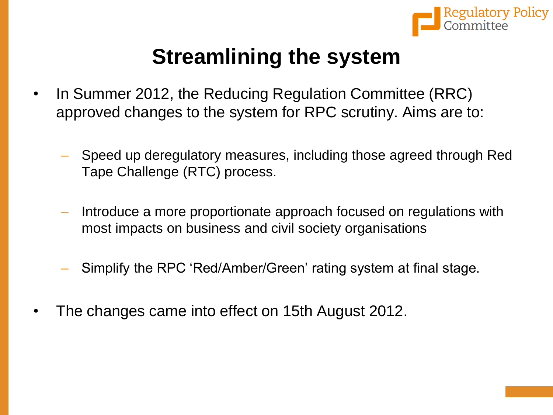

# **Streamlining the system**

- In Summer 2012, the Reducing Regulation Committee (RRC) approved changes to the system for RPC scrutiny. Aims are to:
	- Speed up deregulatory measures, including those agreed through Red Tape Challenge (RTC) process.
	- Introduce a more proportionate approach focused on regulations with most impacts on business and civil society organisations
	- Simplify the RPC 'Red/Amber/Green' rating system at final stage.
- The changes came into effect on 15th August 2012.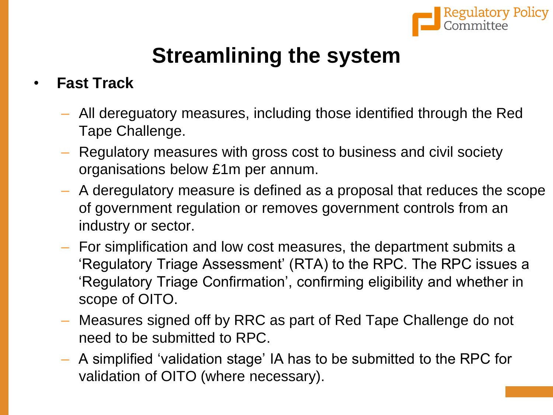

# **Streamlining the system**

#### • **Fast Track**

- All dereguatory measures, including those identified through the Red Tape Challenge.
- Regulatory measures with gross cost to business and civil society organisations below £1m per annum.
- A deregulatory measure is defined as a proposal that reduces the scope of government regulation or removes government controls from an industry or sector.
- For simplification and low cost measures, the department submits a 'Regulatory Triage Assessment' (RTA) to the RPC. The RPC issues a 'Regulatory Triage Confirmation', confirming eligibility and whether in scope of OITO.
- Measures signed off by RRC as part of Red Tape Challenge do not need to be submitted to RPC.
- A simplified 'validation stage' IA has to be submitted to the RPC for validation of OITO (where necessary).